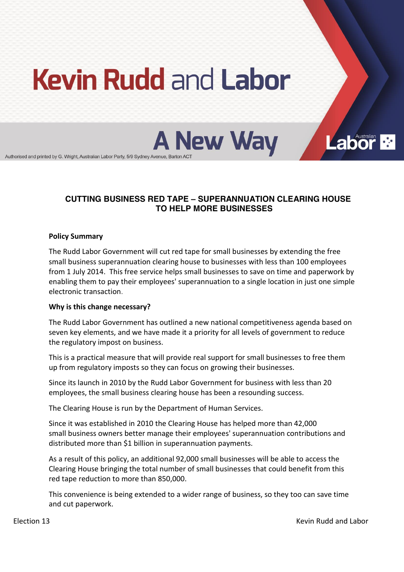# **Kevin Rudd and Labor**

**A New Way** 

Authorised and printed by G. Wright, Australian Labor Party, 5/9 Sydney Avenue, Barton AC

## **CUTTING BUSINESS RED TAPE ± SUPERANNUATION CLEARING HOUSE TO HELP MORE BUSINESSES**

## **Policy Summary**

The Rudd Labor Government will cut red tape for small businesses by extending the free small business superannuation clearing house to businesses with less than 100 employees from 1 July 2014. This free service helps small businesses to save on time and paperwork by enabling them to pay their employees' superannuation to a single location in just one simple electronic transaction.

## **Why is this change necessary?**

The Rudd Labor Government has outlined a new national competitiveness agenda based on seven key elements, and we have made it a priority for all levels of government to reduce the regulatory impost on business.

This is a practical measure that will provide real support for small businesses to free them up from regulatory imposts so they can focus on growing their businesses.

Since its launch in 2010 by the Rudd Labor Government for business with less than 20 employees, the small business clearing house has been a resounding success.

The Clearing House is run by the Department of Human Services.

Since it was established in 2010 the Clearing House has helped more than 42,000 small business owners better manage their employees' superannuation contributions and distributed more than \$1 billion in superannuation payments.

As a result of this policy, an additional 92,000 small businesses will be able to access the Clearing House bringing the total number of small businesses that could benefit from this red tape reduction to more than 850,000.

This convenience is being extended to a wider range of business, so they too can save time and cut paperwork.

Election 13 **Kevin** Rudd and Labor **Controllering and Controllering and Controllering and Labor Rudd and Labor** 

**Labor**